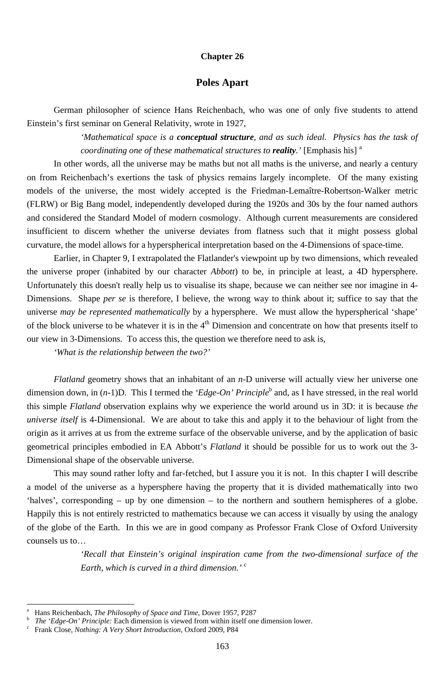#### **Chapter 26**

## **Poles Apart**

*'Mathematical space is a conceptual structure, and as such ideal. Physics has the task of coordinating one of these mathematical structures to <i>reality*.' [Emphasis his]<sup>a</sup>

German philosopher of science Hans Reichenbach, who was one of only five students to attend Einstein's first seminar on General Relativity, wrote in 1927,

In other words, all the universe may be maths but not all maths is the universe, and nearly a century on from Reichenbach's exertions the task of physics remains largely incomplete. Of the many existing models of the universe, the most widely accepted is the Friedman-Lemaître-Robertson-Walker metric (FLRW) or Big Bang model, independently developed during the 1920s and 30s by the four named authors and considered the Standard Model of modern cosmology. Although current measurements are considered insufficient to discern whether the universe deviates from flatness such that it might possess global curvature, the model allows for a hyperspherical interpretation based on the 4-Dimensions of space-time.

Earlier, in Chapter 9, I extrapolated the Flatlander's viewpoint up by two dimensions, which revealed the universe proper (inhabited by our character *Abbott*) to be, in principle at least, a 4D hypersphere. Unfortunately this doesn't really help us to visualise its shape, because we can neither see nor imagine in 4- Dimensions. Shape *per se* is therefore, I believe, the wrong way to think about it; suffice to say that the universe *may be represented mathematically* by a hypersphere. We must allow the hyperspherical 'shape' of the block universe to be whatever it is in the  $4<sup>th</sup>$  Dimension and concentrate on how that presents itself to our view in 3-Dimensions. To access this, the question we therefore need to ask is,

*'What is the relationship between the two?'* 

*Flatland* geometry shows that an inhabitant of an *n*-D universe will actually view her universe one dimension down, in  $(n-1)D$ . This I termed the '*Edge-On' Principle*<sup>b</sup> and, as I have stressed, in the real world this simple *Flatland* observation explains why we experience the world around us in 3D: it is because *the universe itself* is 4-Dimensional. We are about to take this and apply it to the behaviour of light from the origin as it arrives at us from the extreme surface of the observable universe, and by the application of basic geometrical principles embodied in EA Abbott's *Flatland* it should be possible for us to work out the 3- Dimensional shape of the observable universe.

This may sound rather lofty and far-fetched, but I assure you it is not. In this chapter I will describe a model of the universe as a hypersphere having the property that it is divided mathematically into two 'halves', corresponding – up by one dimension – to the northern and southern hemispheres of a globe.

Happily this is not entirely restricted to mathematics because we can access it visually by using the analogy of the globe of the Earth. In this we are in good company as Professor Frank Close of Oxford University counsels us to…

> *'Recall that Einstein's original inspiration came from the two-dimensional surface of the Earth, which is curved in a third dimension.'* <sup>c</sup>

-

<sup>163</sup>

b *The 'Edge-On' Principle:* Each dimension is viewed from within itself one dimension lower.

a Hans Reichenbach, *The Philosophy of Space and Time*, Dover 1957, P287

Frank Close, *Nothing: A Very Short Introduction*, Oxford 2009, P84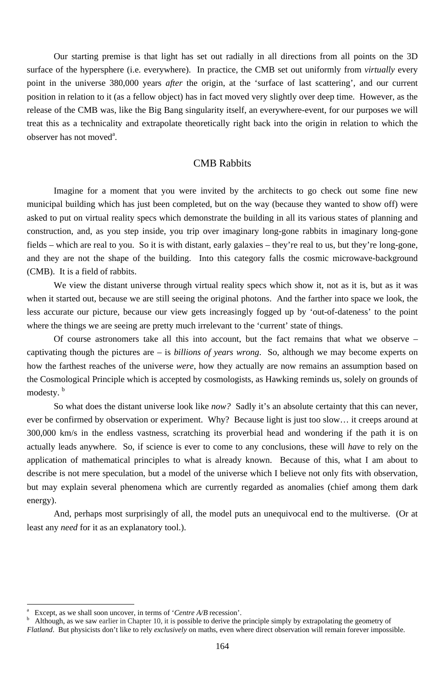Our starting premise is that light has set out radially in all directions from all points on the 3D surface of the hypersphere (i.e. everywhere). In practice, the CMB set out uniformly from *virtually* every point in the universe 380,000 years *after* the origin, at the 'surface of last scattering', and our current position in relation to it (as a fellow object) has in fact moved very slightly over deep time. However, as the release of the CMB was, like the Big Bang singularity itself, an everywhere-event, for our purposes we will treat this as a technicality and extrapolate theoretically right back into the origin in relation to which the observer has not moved<sup>a</sup>.

### CMB Rabbits

We view the distant universe through virtual reality specs which show it, not as it is, but as it was when it started out, because we are still seeing the original photons. And the farther into space we look, the less accurate our picture, because our view gets increasingly fogged up by 'out-of-dateness' to the point where the things we are seeing are pretty much irrelevant to the 'current' state of things.

Of course astronomers take all this into account, but the fact remains that what we observe – captivating though the pictures are – is *billions of years wrong*. So, although we may become experts on how the farthest reaches of the universe *were*, how they actually are now remains an assumption based on the Cosmological Principle which is accepted by cosmologists, as Hawking reminds us, solely on grounds of modesty.<sup>b</sup>

Imagine for a moment that you were invited by the architects to go check out some fine new municipal building which has just been completed, but on the way (because they wanted to show off) were asked to put on virtual reality specs which demonstrate the building in all its various states of planning and construction, and, as you step inside, you trip over imaginary long-gone rabbits in imaginary long-gone fields – which are real to you. So it is with distant, early galaxies – they're real to us, but they're long-gone, and they are not the shape of the building. Into this category falls the cosmic microwave-background (CMB). It is a field of rabbits.

So what does the distant universe look like *now?* Sadly it's an absolute certainty that this can never, ever be confirmed by observation or experiment. Why? Because light is just too slow… it creeps around at 300,000 km/s in the endless vastness, scratching its proverbial head and wondering if the path it is on actually leads anywhere. So, if science is ever to come to any conclusions, these will *have* to rely on the application of mathematical principles to what is already known. Because of this, what I am about to describe is not mere speculation, but a model of the universe which I believe not only fits with observation, but may explain several phenomena which are currently regarded as anomalies (chief among them dark energy).

And, perhaps most surprisingly of all, the model puts an unequivocal end to the multiverse. (Or at least any *need* for it as an explanatory tool.).

-

<sup>164</sup>

a Except, as we shall soon uncover, in terms of '*Centre A/B* recession'.

b Although, as we saw earlier in Chapter 10, it is possible to derive the principle simply by extrapolating the geometry of *Flatland*. But physicists don't like to rely *exclusively* on maths, even where direct observation will remain forever impossible.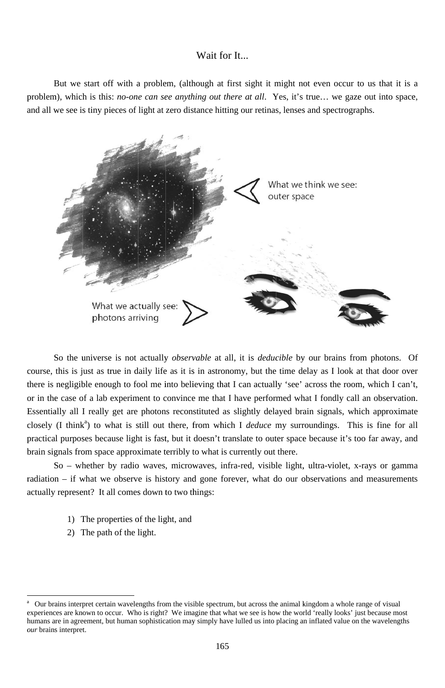# Wait for It...

problem), which is this: *no-one can see anything out there at all*. Yes, it's true... we gaze out into space, and all we see is tiny pieces of light at zero distance hitting our retinas, lenses and spectrographs. But we start off with a problem, (although at first sight it might not even occur to us that it is a



course, this is just as true in daily life as it is in astronomy, but the time delay as I look at that door over there is negligible enough to fool me into believing that I can actually 'see' across the room, which I can't, or in the case of a lab experiment to convince me that I have performed what I fondly call an observation. Essentially all I really get are photons reconstituted as slightly delayed brain signals, which approximate closely (I think<sup>a</sup>) to what is still out there, from which I *deduce* my surroundings. This is fine for all practical purposes because light is fast, but it doesn't translate to outer space because it's too far away, and brain signals from space approximate terribly to what is currently out there. So the universe is not actually *observable* at all, it is *deducible* by our brains from photons. Of d<br>a

radiation – if what we observe is history and gone forever, what do our observations and measurements actually represent? It all comes down to two things: So – whether by radio waves, microwaves, infra-red, visible light, ultra-violet, x-rays or gamm

1) The properties of the light, and

2) The path of the light.

l

l

16 65

a experiences are known to occur. Who is right? We imagine that what we see is how the world 'really looks' just because most humans are in agreement, but human sophistication may simply have lulled us into placing an inflated value on the wavelengths our brains interpret. Our brains interpret certain wavelengths from the visible spectrum, but across the animal kingdom a whole range of visual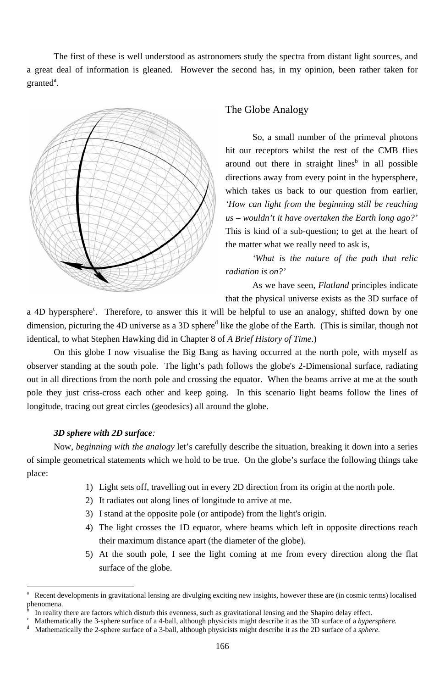The first of these is well understood as astronomers study the spectra from distant light sources, and a great deal of information is gleaned. However the second has, in my opinion, been rather taken for  $granted<sup>a</sup>$ .



# The Globe Analogy

So, a small number of the primeval photons hit our receptors whilst the rest of the CMB flies around out there in straight lines<sup>b</sup> in all possible directions away from every point in the hypersphere, which takes us back to our question from earlier, *'How can light from the beginning still be reaching us – wouldn't it have overtaken the Earth long ago?'* This is kind of a sub-question; to get at the heart of the matter what we really need to ask is,

a 4D hypersphere<sup>c</sup>. Therefore, to answer this it will be helpful to use an analogy, shifted down by one dimension, picturing the 4D universe as a 3D sphere<sup>d</sup> like the globe of the Earth. (This is similar, though not identical, to what Stephen Hawking did in Chapter 8 of *A Brief History of Time*.)

*'What is the nature of the path that relic radiation is on?'*

As we have seen, *Flatland* principles indicate that the physical universe exists as the 3D surface of

On this globe I now visualise the Big Bang as having occurred at the north pole, with myself as observer standing at the south pole. The light's path follows the globe's 2-Dimensional surface, radiating out in all directions from the north pole and crossing the equator. When the beams arrive at me at the south pole they just criss-cross each other and keep going. In this scenario light beams follow the lines of longitude, tracing out great circles (geodesics) all around the globe.

### *3D sphere with 2D surface:*

<sup>-</sup>

Now, *beginning with the analogy* let's carefully describe the situation, breaking it down into a series of simple geometrical statements which we hold to be true. On the globe's surface the following things take place:

- 1) Light sets off, travelling out in every 2D direction from its origin at the north pole.
- 2) It radiates out along lines of longitude to arrive at me.
- 3) I stand at the opposite pole (or antipode) from the light's origin.
- 4) The light crosses the 1D equator, where beams which left in opposite directions reach their maximum distance apart (the diameter of the globe).
- 5) At the south pole, I see the light coming at me from every direction along the flat surface of the globe.

<sup>166</sup>

b In reality there are factors which disturb this evenness, such as gravitational lensing and the Shapiro delay effect.<br>C Mathematically the 3-sphere surface of a 4-ball, although physicists might describe it as the 3D surf

a Recent developments in gravitational lensing are divulging exciting new insights, however these are (in cosmic terms) localised phenomena.

Mathematically the 3-sphere surface of a 4-ball, although physicists might describe it as the 3D surface of a *hypersphere.*

d Mathematically the 2-sphere surface of a 3-ball, although physicists might describe it as the 2D surface of a *sphere.*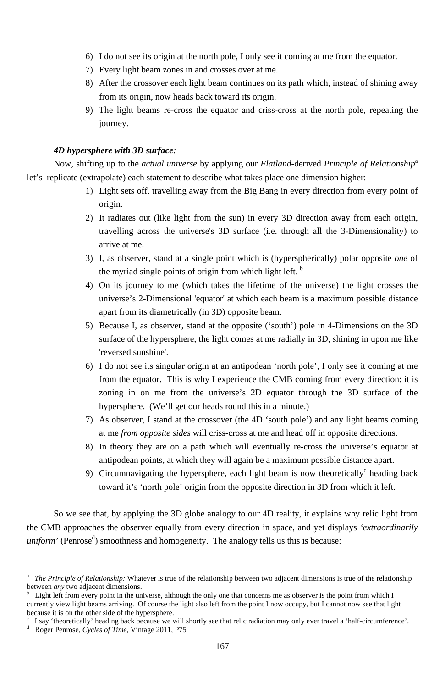167

- 6) I do not see its origin at the north pole, I only see it coming at me from the equator.
- 7) Every light beam zones in and crosses over at me.
- 8) After the crossover each light beam continues on its path which, instead of shining away from its origin, now heads back toward its origin.
- 9) The light beams re-cross the equator and criss-cross at the north pole, repeating the journey.

### *4D hypersphere with 3D surface:*

<sup>-</sup>

Now, shifting up to the *actual universe* by applying our *Flatland*-derived *Principle of Relationship*<sup>a</sup> let's replicate (extrapolate) each statement to describe what takes place one dimension higher:

So we see that, by applying the 3D globe analogy to our 4D reality, it explains why relic light from the CMB approaches the observer equally from every direction in space, and yet displays *'extraordinarily uniform'* (Penrose<sup>d</sup>) smoothness and homogeneity. The analogy tells us this is because:

- 1) Light sets off, travelling away from the Big Bang in every direction from every point of origin.
- 2) It radiates out (like light from the sun) in every 3D direction away from each origin, travelling across the universe's 3D surface (i.e. through all the 3-Dimensionality) to arrive at me.
- 3) I, as observer, stand at a single point which is (hyperspherically) polar opposite *one* of the myriad single points of origin from which light left. **b**
- 4) On its journey to me (which takes the lifetime of the universe) the light crosses the universe's 2-Dimensional 'equator' at which each beam is a maximum possible distance apart from its diametrically (in 3D) opposite beam.
- 5) Because I, as observer, stand at the opposite ('south') pole in 4-Dimensions on the 3D surface of the hypersphere, the light comes at me radially in 3D, shining in upon me like 'reversed sunshine'.
- 6) I do not see its singular origin at an antipodean 'north pole', I only see it coming at me from the equator. This is why I experience the CMB coming from every direction: it is zoning in on me from the universe's 2D equator through the 3D surface of the hypersphere. (We'll get our heads round this in a minute.)
- 7) As observer, I stand at the crossover (the 4D 'south pole') and any light beams coming at me *from opposite sides* will criss-cross at me and head off in opposite directions.
- 8) In theory they are on a path which will eventually re-cross the universe's equator at antipodean points, at which they will again be a maximum possible distance apart.
- 9) Circumnavigating the hypersphere, each light beam is now theoretically<sup>c</sup> heading back toward it's 'north pole' origin from the opposite direction in 3D from which it left.

c I say 'theoretically' heading back because we will shortly see that relic radiation may only ever travel a 'half-circumference'. d Roger Penrose, *Cycles of Time*, Vintage 2011, P75

a *The Principle of Relationship:* Whatever is true of the relationship between two adjacent dimensions is true of the relationship between *any* two adjacent dimensions.

b Light left from every point in the universe, although the only one that concerns me as observer is the point from which I currently view light beams arriving. Of course the light also left from the point I now occupy, but I cannot now see that light because it is on the other side of the hypersphere.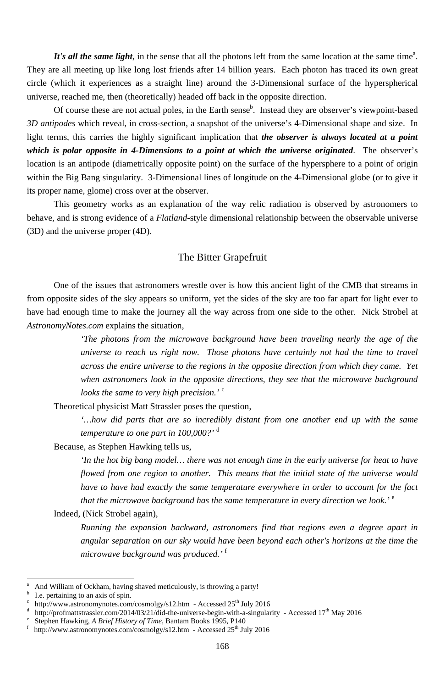168

It's all the same light, in the sense that all the photons left from the same location at the same time<sup>a</sup>. They are all meeting up like long lost friends after 14 billion years. Each photon has traced its own great circle (which it experiences as a straight line) around the 3-Dimensional surface of the hyperspherical universe, reached me, then (theoretically) headed off back in the opposite direction.

Of course these are not actual poles, in the Earth sense<sup>b</sup>. Instead they are observer's viewpoint-based *3D antipodes* which reveal, in cross-section, a snapshot of the universe's 4-Dimensional shape and size. In light terms, this carries the highly significant implication that *the observer is always located at a point which is polar opposite in 4-Dimensions to a point at which the universe originated*. The observer's location is an antipode (diametrically opposite point) on the surface of the hypersphere to a point of origin within the Big Bang singularity. 3-Dimensional lines of longitude on the 4-Dimensional globe (or to give it its proper name, glome) cross over at the observer.

> *'In the hot big bang model… there was not enough time in the early universe for heat to have flowed from one region to another. This means that the initial state of the universe would have to have had exactly the same temperature everywhere in order to account for the fact that the microwave background has the same temperature in every direction we look.*<sup>'</sup>

This geometry works as an explanation of the way relic radiation is observed by astronomers to behave, and is strong evidence of a *Flatland*-style dimensional relationship between the observable universe (3D) and the universe proper (4D).

# The Bitter Grapefruit

One of the issues that astronomers wrestle over is how this ancient light of the CMB that streams in from opposite sides of the sky appears so uniform, yet the sides of the sky are too far apart for light ever to have had enough time to make the journey all the way across from one side to the other. Nick Strobel at *AstronomyNotes.com* explains the situation,

f http://www.astronomynotes.com/cosmolgy/s12.htm - Accessed 25<sup>th</sup> July 2016

*'The photons from the microwave background have been traveling nearly the age of the universe to reach us right now. Those photons have certainly not had the time to travel across the entire universe to the regions in the opposite direction from which they came. Yet when astronomers look in the opposite directions, they see that the microwave background looks the same to very high precision.'* <sup>c</sup>

Theoretical physicist Matt Strassler poses the question,

*'…how did parts that are so incredibly distant from one another end up with the same temperature to one part in 100,000?'* <sup>d</sup>

Because, as Stephen Hawking tells us,

Indeed, (Nick Strobel again),

*Running the expansion backward, astronomers find that regions even a degree apart in angular separation on our sky would have been beyond each other's horizons at the time the microwave background was produced.'* <sup>f</sup>

a And William of Ockham, having shaved meticulously, is throwing a party!

b I.e. pertaining to an axis of spin.

<sup>-</sup>

- c http://www.astronomynotes.com/cosmolgy/s12.htm - Accessed 25<sup>th</sup> July 2016
- d <sup>d</sup> http://profmattstrassler.com/2014/03/21/did-the-universe-begin-with-a-singularity - Accessed 17<sup>th</sup> May 2016<br><sup>e</sup> Stephen Hawking A *Brief History of Time* Bantam Books 1995 P140
- Stephen Hawking, *A Brief History of Time*, Bantam Books 1995, P140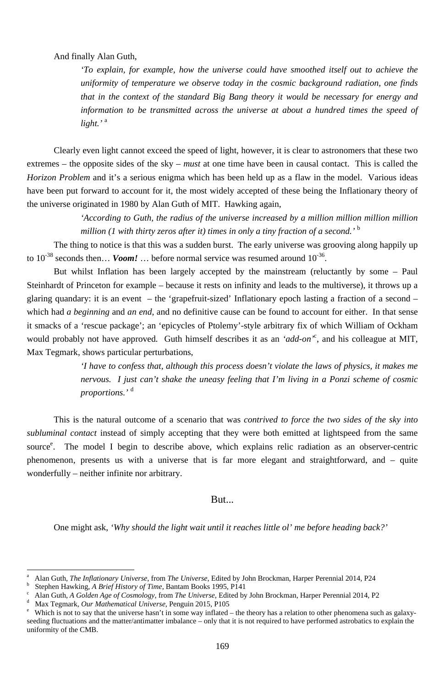169

And finally Alan Guth,

*'To explain, for example, how the universe could have smoothed itself out to achieve the uniformity of temperature we observe today in the cosmic background radiation, one finds that in the context of the standard Big Bang theory it would be necessary for energy and information to be transmitted across the universe at about a hundred times the speed of light.'* <sup>a</sup>

The thing to notice is that this was a sudden burst. The early universe was grooving along happily up to  $10^{-38}$  seconds then... *Voom!* ... before normal service was resumed around  $10^{-36}$ .

Clearly even light cannot exceed the speed of light, however, it is clear to astronomers that these two extremes – the opposite sides of the sky – *must* at one time have been in causal contact. This is called the *Horizon Problem* and it's a serious enigma which has been held up as a flaw in the model. Various ideas have been put forward to account for it, the most widely accepted of these being the Inflationary theory of the universe originated in 1980 by Alan Guth of MIT. Hawking again,

> *'According to Guth, the radius of the universe increased by a million million million million million (1 with thirty zeros after it) times in only a tiny fraction of a second.'* <sup>b</sup>

- a Alan Guth, *The Inflationary Universe*, from *The Universe*, Edited by John Brockman, Harper Perennial 2014, P24 b <sup>b</sup> Stephen Hawking, *A Brief History of Time*, Bantam Books 1995, P141
- Alan Guth, *A Golden Age of Cosmology*, from *The Universe*, Edited by John Brockman, Harper Perennial 2014, P2
- d <sup>d</sup> Max Tegmark, *Our Mathematical Universe*, Penguin 2015, P105<br><sup>e</sup> Which is not to say that the universe hasn't in some way inflated.

<sup>-</sup>

But whilst Inflation has been largely accepted by the mainstream (reluctantly by some – Paul Steinhardt of Princeton for example – because it rests on infinity and leads to the multiverse), it throws up a glaring quandary: it is an event – the 'grapefruit-sized' Inflationary epoch lasting a fraction of a second – which had *a beginning* and *an end*, and no definitive cause can be found to account for either. In that sense it smacks of a 'rescue package'; an 'epicycles of Ptolemy'-style arbitrary fix of which William of Ockham would probably not have approved. Guth himself describes it as an *'add-on'*<sup>c</sup> , and his colleague at MIT, Max Tegmark, shows particular perturbations,

Which is not to say that the universe hasn't in some way inflated – the theory has a relation to other phenomena such as galaxyseeding fluctuations and the matter/antimatter imbalance – only that it is not required to have performed astrobatics to explain the uniformity of the CMB.

*'I have to confess that, although this process doesn't violate the laws of physics, it makes me nervous. I just can't shake the uneasy feeling that I'm living in a Ponzi scheme of cosmic proportions.'* <sup>d</sup>

This is the natural outcome of a scenario that was *contrived to force the two sides of the sky into subluminal contact* instead of simply accepting that they were both emitted at lightspeed from the same source<sup>e</sup>. The model I begin to describe above, which explains relic radiation as an observer-centric phenomenon, presents us with a universe that is far more elegant and straightforward, and – quite wonderfully – neither infinite nor arbitrary.

One might ask, *'Why should the light wait until it reaches little ol' me before heading back?'*